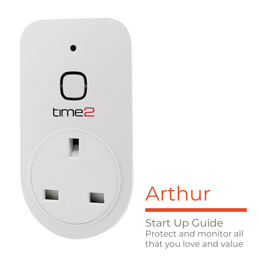

# Arthur

Start Up Guide Protect and monitor all that you love and value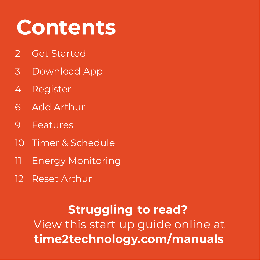# **Contents**

- Get Started
- Download App
- 4 Register
- $6<sup>1</sup>$ Add Arthur
- Features
- 10 Timer & Schedule
- Energy Monitoring
- 12 Reset Arthur

**Struggling to read?** View this start up guide online at **time2technology.com/manuals**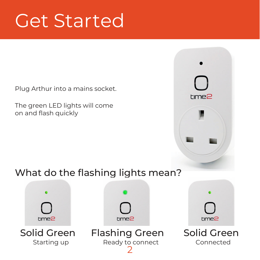## Get Started

Plug Arthur into a mains socket.

The green LED lights will come on and flash quickly

### What do the flashing lights mean?



 $r$ me $P$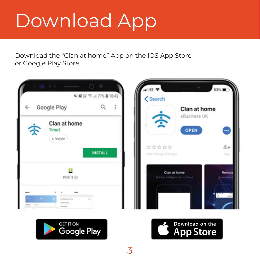# Download App

Download the "Clan at home" App on the iOS App Store or Google Play Store.







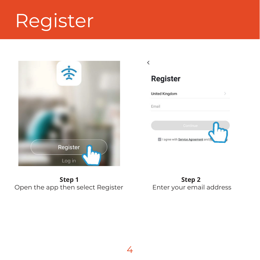# Register





#### **Register**

**United Kingdom** Email I agree with Service Agreement an

**Step 1 Step**  Open the app then select Register

**Step 2 Step** Enter your email address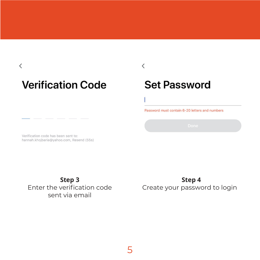$\overline{\left\langle \right\rangle }$ 

### **Verification Code**

### **Set Password**

 $\overline{\left\langle \right\rangle }$ 

Password must contain 6-20 letters and numbers

Verification code has been sent to: hannah khojharja@vahoo.com, Resend (55s)

**Step 3** Enter the verification code sent via email

**Step 4** Create your password to login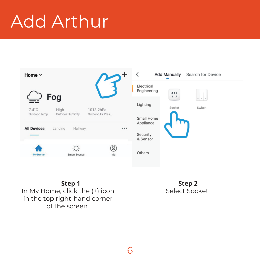## Add Arthur



**Step 1** In My Home, click the (+) icon in the top right-hand corner of the screen

**Step 2** Select Socket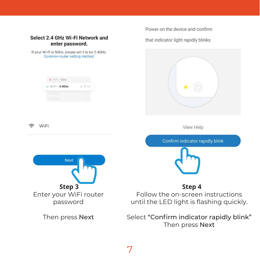

7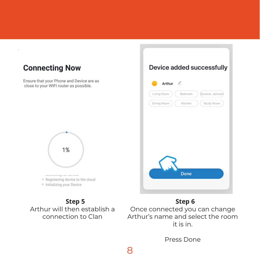

#### Arthur's name and select the room it is in.

Press Done

8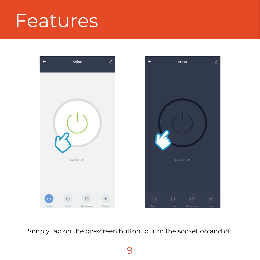### **Features**



Simply tap on the on-screen button to turn the socket on and off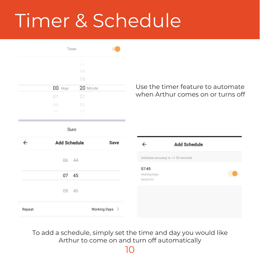## Timer & Schedule

| Timer              |              |  |  |
|--------------------|--------------|--|--|
|                    | 17           |  |  |
|                    | 18           |  |  |
|                    | 19           |  |  |
| 00 Hour            | 20 Minute    |  |  |
| 01                 | 21           |  |  |
| 02                 | 22           |  |  |
| os.<br>$100 - 100$ | 23<br>$\sim$ |  |  |
|                    |              |  |  |

Use the timer feature to automate when Arthur comes on or turns off

Sure

| ←      | <b>Add Schedule</b> | Save           | $\leftarrow$              | <b>Add Schedule</b>                 |
|--------|---------------------|----------------|---------------------------|-------------------------------------|
|        | 06<br>44            |                | 07:45                     | Schedule accuracy is -/+ 30 seconds |
|        | 07<br>45            |                | Working Days<br>Switch:On |                                     |
|        | 08<br>46            |                |                           |                                     |
| Repeat |                     | Working Days > |                           |                                     |

To add a schedule, simply set the time and day you would like Arthur to come on and turn off automatically

10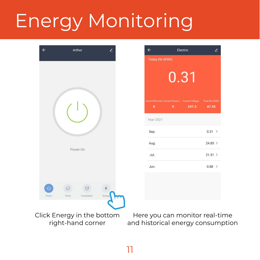# Energy Monitoring



| $\leftarrow$           |          | Electric                                                                  |           |  |  |  |  |  |
|------------------------|----------|---------------------------------------------------------------------------|-----------|--|--|--|--|--|
| <b>Today Ele (KWh)</b> |          |                                                                           |           |  |  |  |  |  |
| 0.31                   |          |                                                                           |           |  |  |  |  |  |
| n                      | $\Omega$ | Current Ele (mA) Current Power ( Current Voltage Total Ele (KWh)<br>247.3 | 47.55     |  |  |  |  |  |
| <b>Year 2021</b>       |          |                                                                           |           |  |  |  |  |  |
| Sep.                   |          |                                                                           | $0.31$ >  |  |  |  |  |  |
| Aug.                   |          |                                                                           | $24.85$ > |  |  |  |  |  |
| Jul.                   |          |                                                                           | $21.51$ > |  |  |  |  |  |
| Jun.                   |          |                                                                           | $0.88$ >  |  |  |  |  |  |
|                        |          |                                                                           |           |  |  |  |  |  |

Click Energy in the bottom right-hand corner

Here you can monitor real-time and historical energy consumption